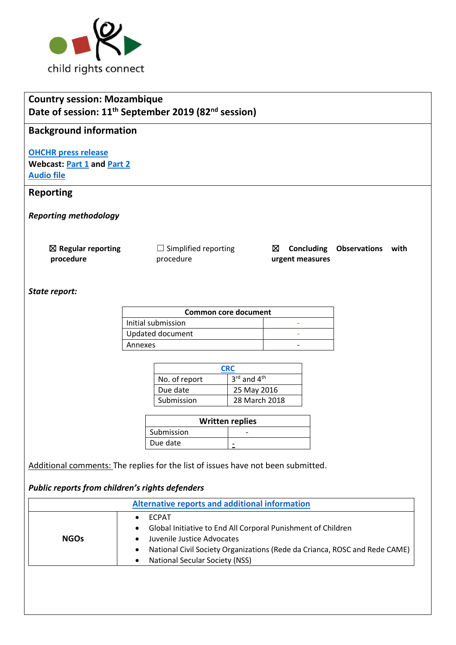

| <b>Country session: Mozambique</b><br>Date of session: 11 <sup>th</sup> September 2019 (82 <sup>nd</sup> session) |                                                                                  |                                       |                               |                     |      |  |
|-------------------------------------------------------------------------------------------------------------------|----------------------------------------------------------------------------------|---------------------------------------|-------------------------------|---------------------|------|--|
| <b>Background information</b>                                                                                     |                                                                                  |                                       |                               |                     |      |  |
| <b>OHCHR press release</b><br><b>Webcast: Part 1 and Part 2</b><br><b>Audio file</b>                              |                                                                                  |                                       |                               |                     |      |  |
| <b>Reporting</b>                                                                                                  |                                                                                  |                                       |                               |                     |      |  |
| <b>Reporting methodology</b>                                                                                      |                                                                                  |                                       |                               |                     |      |  |
| $\boxtimes$ Regular reporting<br>procedure                                                                        | $\Box$ Simplified reporting<br>procedure                                         | ⊠                                     | Concluding<br>urgent measures | <b>Observations</b> | with |  |
| State report:                                                                                                     |                                                                                  |                                       |                               |                     |      |  |
|                                                                                                                   | <b>Common core document</b>                                                      |                                       |                               |                     |      |  |
|                                                                                                                   | Initial submission                                                               |                                       |                               |                     |      |  |
|                                                                                                                   | Updated document                                                                 |                                       |                               |                     |      |  |
|                                                                                                                   | Annexes                                                                          |                                       |                               |                     |      |  |
|                                                                                                                   |                                                                                  |                                       |                               |                     |      |  |
|                                                                                                                   | No. of report                                                                    | <b>CRC</b><br>3rd and 4 <sup>th</sup> |                               |                     |      |  |
|                                                                                                                   | Due date                                                                         | 25 May 2016                           |                               |                     |      |  |
|                                                                                                                   | Submission                                                                       | 28 March 2018                         |                               |                     |      |  |
|                                                                                                                   |                                                                                  | <b>Written replies</b>                |                               |                     |      |  |
|                                                                                                                   | Submission                                                                       |                                       |                               |                     |      |  |
|                                                                                                                   | Due date                                                                         |                                       |                               |                     |      |  |
|                                                                                                                   | Additional comments: The replies for the list of issues have not been submitted. |                                       |                               |                     |      |  |

# *Public reports from children's rights defenders*

|             | Alternative reports and additional information                                                                                                                                                                                                      |
|-------------|-----------------------------------------------------------------------------------------------------------------------------------------------------------------------------------------------------------------------------------------------------|
| <b>NGOs</b> | <b>ECPAT</b><br>Global Initiative to End All Corporal Punishment of Children<br>$\bullet$<br>Juvenile Justice Advocates<br>National Civil Society Organizations (Rede da Crianca, ROSC and Rede CAME)<br><b>National Secular Society (NSS)</b><br>٠ |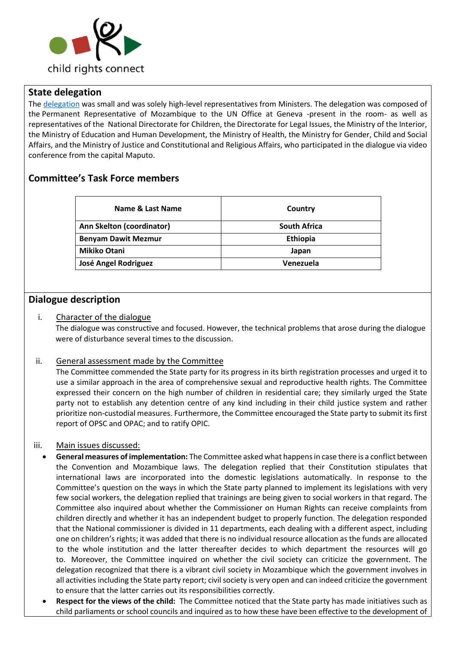

## **State delegation**

The [delegation](https://tbinternet.ohchr.org/_layouts/15/treatybodyexternal/Download.aspx?symbolno=INT%2fCRC%2fLOP%2fMOZ%2f37050&Lang=en) was small and was solely high-level representatives from Ministers. The delegation was composed of the Permanent Representative of Mozambique to the UN Office at Geneva -present in the room- as well as representatives of the National Directorate for Children, the Directorate for Legal Issues, the Ministry of the Interior, the Ministry of Education and Human Development, the Ministry of Health, the Ministry for Gender, Child and Social Affairs, and the Ministry of Justice and Constitutional and Religious Affairs, who participated in the dialogue via video conference from the capital Maputo.

# **Committee's Task Force members**

| Name & Last Name            | Country             |
|-----------------------------|---------------------|
| Ann Skelton (coordinator)   | <b>South Africa</b> |
| <b>Benyam Dawit Mezmur</b>  | Ethiopia            |
| <b>Mikiko Otani</b>         | Japan               |
| <b>José Angel Rodriguez</b> | Venezuela           |

## **Dialogue description**

## i. Character of the dialogue

The dialogue was constructive and focused. However, the technical problems that arose during the dialogue were of disturbance several times to the discussion.

## ii. General assessment made by the Committee

The Committee commended the State party for its progress in its birth registration processes and urged it to use a similar approach in the area of comprehensive sexual and reproductive health rights. The Committee expressed their concern on the high number of children in residential care; they similarly urged the State party not to establish any detention centre of any kind including in their child justice system and rather prioritize non-custodial measures. Furthermore, the Committee encouraged the State party to submit its first report of OPSC and OPAC; and to ratify OPIC.

#### iii. Main issues discussed:

- **General measures of implementation:** The Committee asked what happens in case there is a conflict between the Convention and Mozambique laws. The delegation replied that their Constitution stipulates that international laws are incorporated into the domestic legislations automatically. In response to the Committee's question on the ways in which the State party planned to implement its legislations with very few social workers, the delegation replied that trainings are being given to social workers in that regard. The Committee also inquired about whether the Commissioner on Human Rights can receive complaints from children directly and whether it has an independent budget to properly function. The delegation responded that the National commissioner is divided in 11 departments, each dealing with a different aspect, including one on children's rights; it was added that there is no individual resource allocation as the funds are allocated to the whole institution and the latter thereafter decides to which department the resources will go to. Moreover, the Committee inquired on whether the civil society can criticize the government. The delegation recognized that there is a vibrant civil society in Mozambique which the government involves in all activities including the State party report; civil society is very open and can indeed criticize the government to ensure that the latter carries out its responsibilities correctly.
- **Respect for the views of the child:** The Committee noticed that the State party has made initiatives such as child parliaments or school councils and inquired as to how these have been effective to the development of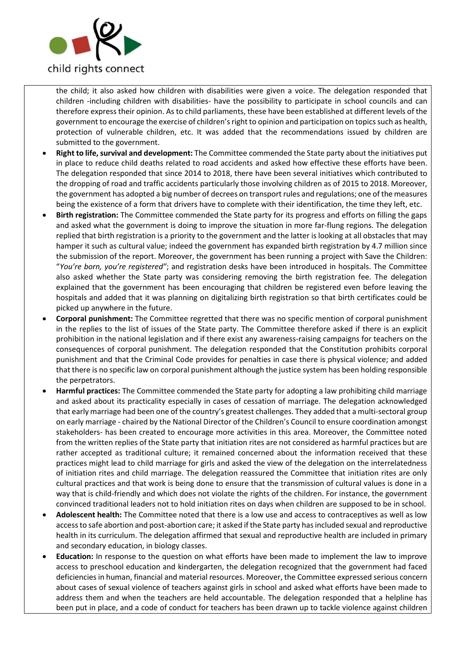

the child; it also asked how children with disabilities were given a voice. The delegation responded that children -including children with disabilities- have the possibility to participate in school councils and can therefore express their opinion. As to child parliaments, these have been established at different levels of the government to encourage the exercise of children's right to opinion and participation on topics such as health, protection of vulnerable children, etc. It was added that the recommendations issued by children are submitted to the government.

- **Right to life, survival and development:** The Committee commended the State party about the initiatives put in place to reduce child deaths related to road accidents and asked how effective these efforts have been. The delegation responded that since 2014 to 2018, there have been several initiatives which contributed to the dropping of road and traffic accidents particularly those involving children as of 2015 to 2018. Moreover, the government has adopted a big number of decrees on transport rules and regulations; one of the measures being the existence of a form that drivers have to complete with their identification, the time they left, etc.
- **Birth registration:** The Committee commended the State party for its progress and efforts on filling the gaps and asked what the government is doing to improve the situation in more far-flung regions. The delegation replied that birth registration is a priority to the government and the latter is looking at all obstacles that may hamper it such as cultural value; indeed the government has expanded birth registration by 4.7 million since the submission of the report. Moreover, the government has been running a project with Save the Children: "*You're born, you're registered"*; and registration desks have been introduced in hospitals. The Committee also asked whether the State party was considering removing the birth registration fee. The delegation explained that the government has been encouraging that children be registered even before leaving the hospitals and added that it was planning on digitalizing birth registration so that birth certificates could be picked up anywhere in the future.
- **Corporal punishment:** The Committee regretted that there was no specific mention of corporal punishment in the replies to the list of issues of the State party. The Committee therefore asked if there is an explicit prohibition in the national legislation and if there exist any awareness-raising campaigns for teachers on the consequences of corporal punishment. The delegation responded that the Constitution prohibits corporal punishment and that the Criminal Code provides for penalties in case there is physical violence; and added that there is no specific law on corporal punishment although the justice system has been holding responsible the perpetrators.
- **Harmful practices:** The Committee commended the State party for adopting a law prohibiting child marriage and asked about its practicality especially in cases of cessation of marriage. The delegation acknowledged that early marriage had been one of the country's greatest challenges. They added that a multi-sectoral group on early marriage - chaired by the National Director of the Children's Council to ensure coordination amongst stakeholders- has been created to encourage more activities in this area. Moreover, the Committee noted from the written replies of the State party that initiation rites are not considered as harmful practices but are rather accepted as traditional culture; it remained concerned about the information received that these practices might lead to child marriage for girls and asked the view of the delegation on the interrelatedness of initiation rites and child marriage. The delegation reassured the Committee that initiation rites are only cultural practices and that work is being done to ensure that the transmission of cultural values is done in a way that is child-friendly and which does not violate the rights of the children. For instance, the government convinced traditional leaders not to hold initiation rites on days when children are supposed to be in school.
- **Adolescent health:** The Committee noted that there is a low use and access to contraceptives as well as low access to safe abortion and post-abortion care; it asked if the State party has included sexual and reproductive health in its curriculum. The delegation affirmed that sexual and reproductive health are included in primary and secondary education, in biology classes.
- **Education:** In response to the question on what efforts have been made to implement the law to improve access to preschool education and kindergarten, the delegation recognized that the government had faced deficiencies in human, financial and material resources. Moreover, the Committee expressed serious concern about cases of sexual violence of teachers against girls in school and asked what efforts have been made to address them and when the teachers are held accountable. The delegation responded that a helpline has been put in place, and a code of conduct for teachers has been drawn up to tackle violence against children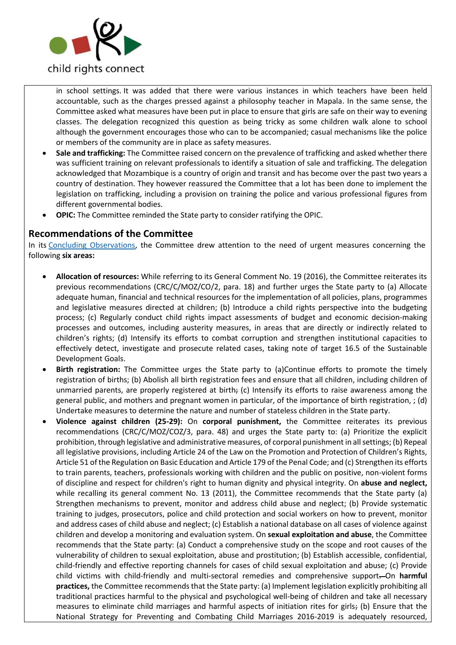

in school settings. It was added that there were various instances in which teachers have been held accountable, such as the charges pressed against a philosophy teacher in Mapala. In the same sense, the Committee asked what measures have been put in place to ensure that girls are safe on their way to evening classes. The delegation recognized this question as being tricky as some children walk alone to school although the government encourages those who can to be accompanied; casual mechanisms like the police or members of the community are in place as safety measures.

- **Sale and trafficking:** The Committee raised concern on the prevalence of trafficking and asked whether there was sufficient training on relevant professionals to identify a situation of sale and trafficking. The delegation acknowledged that Mozambique is a country of origin and transit and has become over the past two years a country of destination. They however reassured the Committee that a lot has been done to implement the legislation on trafficking, including a provision on training the police and various professional figures from different governmental bodies.
- **OPIC:** The Committee reminded the State party to consider ratifying the OPIC.

## **Recommendations of the Committee**

In its [Concluding Observations,](https://tbinternet.ohchr.org/_layouts/15/treatybodyexternal/Download.aspx?symbolno=CRC%2fC%2fMOZ%2fCO%2f3-4&Lang=en) the Committee drew attention to the need of urgent measures concerning the following **six areas:**

- **Allocation of resources:** While referring to its General Comment No. 19 (2016), the Committee reiterates its previous recommendations (CRC/C/MOZ/CO/2, para. 18) and further urges the State party to (a) Allocate adequate human, financial and technical resources for the implementation of all policies, plans, programmes and legislative measures directed at children; (b) Introduce a child rights perspective into the budgeting process; (c) Regularly conduct child rights impact assessments of budget and economic decision-making processes and outcomes, including austerity measures, in areas that are directly or indirectly related to children's rights; (d) Intensify its efforts to combat corruption and strengthen institutional capacities to effectively detect, investigate and prosecute related cases, taking note of target 16.5 of the Sustainable Development Goals.
- **Birth registration:** The Committee urges the State party to (a)Continue efforts to promote the timely registration of births; (b) Abolish all birth registration fees and ensure that all children, including children of unmarried parents, are properly registered at birth. (c) Intensify its efforts to raise awareness among the general public, and mothers and pregnant women in particular, of the importance of birth registration, ; (d) Undertake measures to determine the nature and number of stateless children in the State party.
- **Violence against children (25-29):** On **corporal punishment,** the Committee reiterates its previous recommendations (CRC/C/MOZ/COZ/3, para. 48) and urges the State party to: (a) Prioritize the explicit prohibition, through legislative and administrative measures, of corporal punishment in all settings; (b) Repeal all legislative provisions, including Article 24 of the Law on the Promotion and Protection of Children's Rights, Article 51 of the Regulation on Basic Education and Article 179 of the Penal Code; and (c) Strengthen its efforts to train parents, teachers, professionals working with children and the public on positive, non-violent forms of discipline and respect for children's right to human dignity and physical integrity. On **abuse and neglect,**  while recalling its general comment No. 13 (2011), the Committee recommends that the State party (a) Strengthen mechanisms to prevent, monitor and address child abuse and neglect; (b) Provide systematic training to judges, prosecutors, police and child protection and social workers on how to prevent, monitor and address cases of child abuse and neglect; (c) Establish a national database on all cases of violence against children and develop a monitoring and evaluation system. On **sexual exploitation and abuse**, the Committee recommends that the State party: (a) Conduct a comprehensive study on the scope and root causes of the vulnerability of children to sexual exploitation, abuse and prostitution; (b) Establish accessible, confidential, child-friendly and effective reporting channels for cases of child sexual exploitation and abuse; (c) Provide child victims with child-friendly and multi-sectoral remedies and comprehensive support. On **harmful practices,** the Committee recommends that the State party: (a) Implement legislation explicitly prohibiting all traditional practices harmful to the physical and psychological well-being of children and take all necessary measures to eliminate child marriages and harmful aspects of initiation rites for girls; (b) Ensure that the National Strategy for Preventing and Combating Child Marriages 2016-2019 is adequately resourced,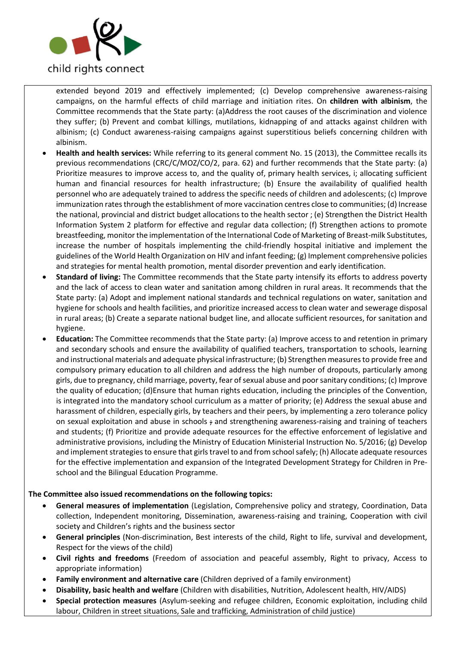

extended beyond 2019 and effectively implemented; (c) Develop comprehensive awareness-raising campaigns, on the harmful effects of child marriage and initiation rites. On **children with albinism**, the Committee recommends that the State party: (a)Address the root causes of the discrimination and violence they suffer; (b) Prevent and combat killings, mutilations, kidnapping of and attacks against children with albinism; (c) Conduct awareness-raising campaigns against superstitious beliefs concerning children with albinism.

- **Health and health services:** While referring to its general comment No. 15 (2013), the Committee recalls its previous recommendations (CRC/C/MOZ/CO/2, para. 62) and further recommends that the State party: (a) Prioritize measures to improve access to, and the quality of, primary health services, i; allocating sufficient human and financial resources for health infrastructure; (b) Ensure the availability of qualified health personnel who are adequately trained to address the specific needs of children and adolescents; (c) Improve immunization rates through the establishment of more vaccination centres close to communities; (d) Increase the national, provincial and district budget allocations to the health sector ; (e) Strengthen the District Health Information System 2 platform for effective and regular data collection; (f) Strengthen actions to promote breastfeeding, monitor the implementation of the International Code of Marketing of Breast-milk Substitutes, increase the number of hospitals implementing the child-friendly hospital initiative and implement the guidelines of the World Health Organization on HIV and infant feeding; (g) Implement comprehensive policies and strategies for mental health promotion, mental disorder prevention and early identification.
- **Standard of living:** The Committee recommends that the State party intensify its efforts to address poverty and the lack of access to clean water and sanitation among children in rural areas. It recommends that the State party: (a) Adopt and implement national standards and technical regulations on water, sanitation and hygiene for schools and health facilities, and prioritize increased access to clean water and sewerage disposal in rural areas; (b) Create a separate national budget line, and allocate sufficient resources, for sanitation and hygiene.
- **Education:** The Committee recommends that the State party: (a) Improve access to and retention in primary and secondary schools and ensure the availability of qualified teachers, transportation to schools, learning and instructional materials and adequate physical infrastructure; (b) Strengthen measures to provide free and compulsory primary education to all children and address the high number of dropouts, particularly among girls, due to pregnancy, child marriage, poverty, fear of sexual abuse and poor sanitary conditions; (c) Improve the quality of education; (d)Ensure that human rights education, including the principles of the Convention, is integrated into the mandatory school curriculum as a matter of priority; (e) Address the sexual abuse and harassment of children, especially girls, by teachers and their peers, by implementing a zero tolerance policy on sexual exploitation and abuse in schools ; and strengthening awareness-raising and training of teachers and students; (f) Prioritize and provide adequate resources for the effective enforcement of legislative and administrative provisions, including the Ministry of Education Ministerial Instruction No. 5/2016; (g) Develop and implement strategies to ensure that girls travel to and from school safely; (h) Allocate adequate resources for the effective implementation and expansion of the Integrated Development Strategy for Children in Preschool and the Bilingual Education Programme.

#### **The Committee also issued recommendations on the following topics:**

- **General measures of implementation** (Legislation, Comprehensive policy and strategy, Coordination, Data collection, Independent monitoring, Dissemination, awareness-raising and training, Cooperation with civil society and Children's rights and the business sector
- **General principles** (Non-discrimination, Best interests of the child, Right to life, survival and development, Respect for the views of the child)
- **Civil rights and freedoms** (Freedom of association and peaceful assembly, Right to privacy, Access to appropriate information)
- **Family environment and alternative care** (Children deprived of a family environment)
- **Disability, basic health and welfare** (Children with disabilities, Nutrition, Adolescent health, HIV/AIDS)
- **Special protection measures** (Asylum-seeking and refugee children, Economic exploitation, including child labour, Children in street situations, Sale and trafficking, Administration of child justice)